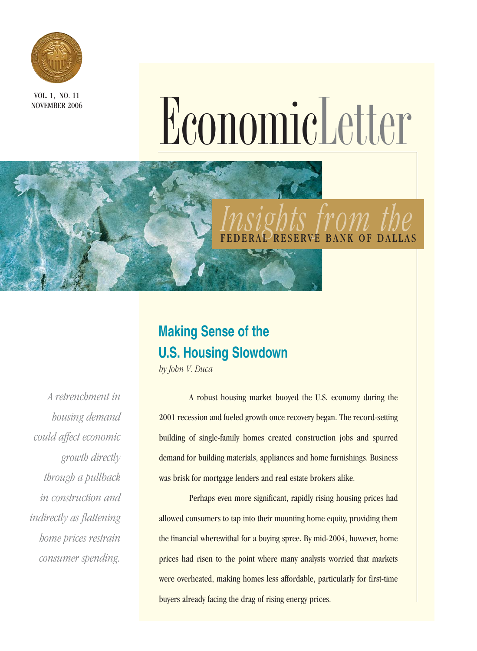

VOL. 1, NO. 11

# NOVEMBER 2006 EconomicLetter

# *Insights from the* VE BANK OF DALLAS

# **Making Sense of the U.S. Housing Slowdown**

*by John V. Duca*

*A retrenchment in housing demand could affect economic growth directly through a pullback in construction and indirectly as flattening home prices restrain consumer spending.*

A robust housing market buoyed the U.S. economy during the 2001 recession and fueled growth once recovery began. The record-setting building of single-family homes created construction jobs and spurred demand for building materials, appliances and home furnishings. Business was brisk for mortgage lenders and real estate brokers alike.

Perhaps even more significant, rapidly rising housing prices had allowed consumers to tap into their mounting home equity, providing them the financial wherewithal for a buying spree. By mid-2004, however, home prices had risen to the point where many analysts worried that markets were overheated, making homes less affordable, particularly for first-time buyers already facing the drag of rising energy prices.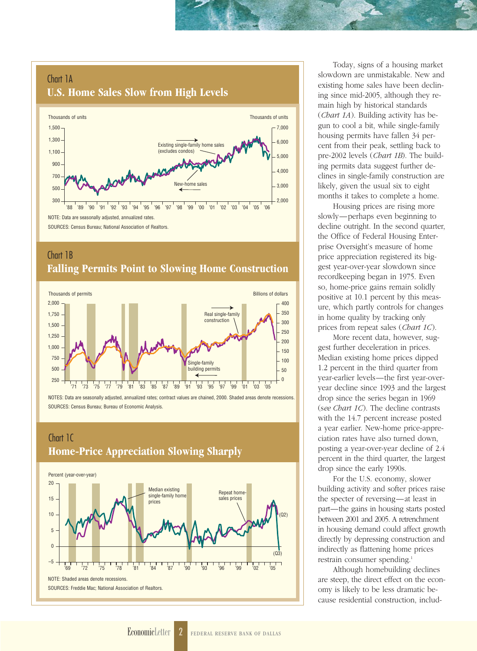## Chart 1A **U.S. Home Sales Slow from High Levels**



## Chart 1B **Falling Permits Point to Slowing Home Construction**



NOTES: Data are seasonally adjusted, annualized rates; contract values are chained, 2000. Shaded areas denote recessions. SOURCES: Census Bureau; Bureau of Economic Analysis.

## Chart 1C **Home-Price Appreciation Slowing Sharply**



Today, signs of a housing market slowdown are unmistakable. New and existing home sales have been declining since mid-2005, although they remain high by historical standards (*Chart 1A*). Building activity has begun to cool a bit, while single-family housing permits have fallen 34 percent from their peak, settling back to pre-2002 levels (*Chart 1B*). The building permits data suggest further declines in single-family construction are likely, given the usual six to eight months it takes to complete a home.

Housing prices are rising more slowly—perhaps even beginning to decline outright. In the second quarter, the Office of Federal Housing Enterprise Oversight's measure of home price appreciation registered its biggest year-over-year slowdown since recordkeeping began in 1975. Even so, home-price gains remain solidly positive at 10.1 percent by this measure, which partly controls for changes in home quality by tracking only prices from repeat sales (*Chart 1C*).

More recent data, however, suggest further deceleration in prices. Median existing home prices dipped 1.2 percent in the third quarter from year-earlier levels—the first year-overyear decline since 1993 and the largest drop since the series began in 1969 (s*ee Chart 1C*). The decline contrasts with the 14.7 percent increase posted a year earlier. New-home price-appreciation rates have also turned down, posting a year-over-year decline of 2.4 percent in the third quarter, the largest drop since the early 1990s.

For the U.S. economy, slower building activity and softer prices raise the specter of reversing—at least in part—the gains in housing starts posted between 2001 and 2005. A retrenchment in housing demand could affect growth directly by depressing construction and indirectly as flattening home prices restrain consumer spending.<sup>1</sup>

Although homebuilding declines are steep, the direct effect on the economy is likely to be less dramatic because residential construction, includ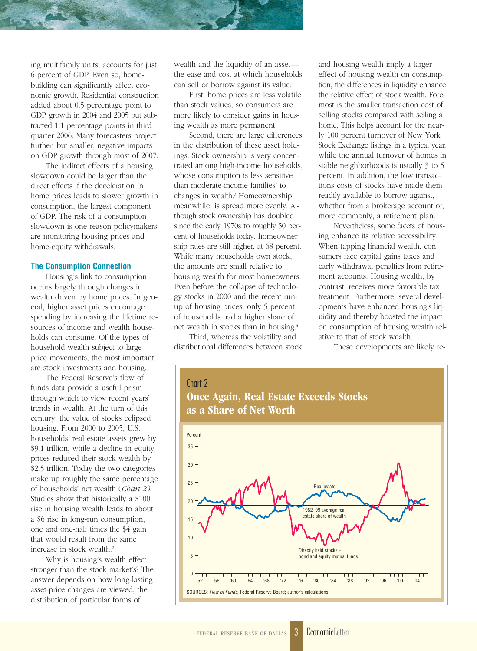ing multifamily units, accounts for just 6 percent of GDP. Even so, homebuilding can significantly affect economic growth. Residential construction added about 0.5 percentage point to GDP growth in 2004 and 2005 but subtracted 1.1 percentage points in third quarter 2006. Many forecasters project further, but smaller, negative impacts on GDP growth through most of 2007.

The indirect effects of a housing slowdown could be larger than the direct effects if the deceleration in home prices leads to slower growth in consumption, the largest component of GDP. The risk of a consumption slowdown is one reason policymakers are monitoring housing prices and home-equity withdrawals.

#### **The Consumption Connection**

Housing's link to consumption occurs largely through changes in wealth driven by home prices. In general, higher asset prices encourage spending by increasing the lifetime resources of income and wealth households can consume. Of the types of household wealth subject to large price movements, the most important are stock investments and housing.

The Federal Reserve's flow of funds data provide a useful prism through which to view recent years' trends in wealth. At the turn of this century, the value of stocks eclipsed housing. From 2000 to 2005, U.S. households' real estate assets grew by \$9.1 trillion, while a decline in equity prices reduced their stock wealth by \$2.5 trillion. Today the two categories make up roughly the same percentage of households' net wealth (*Chart 2)*. Studies show that historically a \$100 rise in housing wealth leads to about a \$6 rise in long-run consumption, one and one-half times the \$4 gain that would result from the same increase in stock wealth.2

Why is housing's wealth effect stronger than the stock market's? The answer depends on how long-lasting asset-price changes are viewed, the distribution of particular forms of

wealth and the liquidity of an asset the ease and cost at which households can sell or borrow against its value.

First, home prices are less volatile than stock values, so consumers are more likely to consider gains in housing wealth as more permanent.

Second, there are large differences in the distribution of these asset holdings. Stock ownership is very concentrated among high-income households, whose consumption is less sensitive than moderate-income families' to changes in wealth.<sup>3</sup> Homeownership, meanwhile, is spread more evenly. Although stock ownership has doubled since the early 1970s to roughly 50 percent of households today, homeownership rates are still higher, at 68 percent. While many households own stock, the amounts are small relative to housing wealth for most homeowners. Even before the collapse of technology stocks in 2000 and the recent runup of housing prices, only 5 percent of households had a higher share of net wealth in stocks than in housing.4

Third, whereas the volatility and distributional differences between stock and housing wealth imply a larger effect of housing wealth on consumption, the differences in liquidity enhance the relative effect of stock wealth. Foremost is the smaller transaction cost of selling stocks compared with selling a home. This helps account for the nearly 100 percent turnover of New York Stock Exchange listings in a typical year, while the annual turnover of homes in stable neighborhoods is usually 3 to 5 percent. In addition, the low transactions costs of stocks have made them readily available to borrow against, whether from a brokerage account or, more commonly, a retirement plan.

Nevertheless, some facets of housing enhance its relative accessibility. When tapping financial wealth, consumers face capital gains taxes and early withdrawal penalties from retirement accounts. Housing wealth, by contrast, receives more favorable tax treatment. Furthermore, several developments have enhanced housing's liquidity and thereby boosted the impact on consumption of housing wealth relative to that of stock wealth.

These developments are likely re-

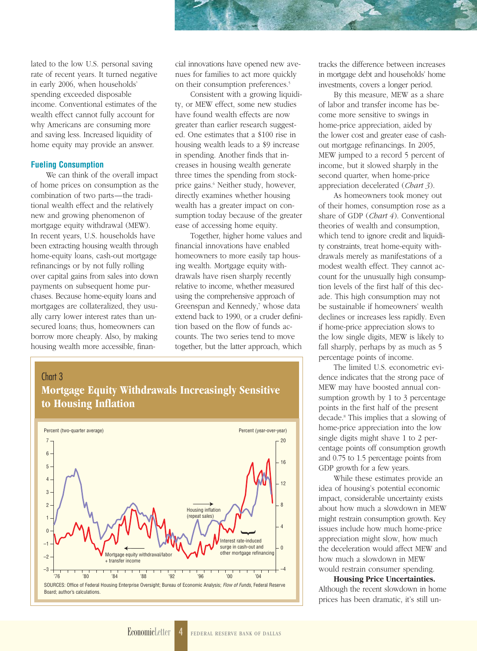lated to the low U.S. personal saving rate of recent years. It turned negative in early 2006, when households' spending exceeded disposable income. Conventional estimates of the wealth effect cannot fully account for why Americans are consuming more and saving less. Increased liquidity of home equity may provide an answer.

#### **Fueling Consumption**

We can think of the overall impact of home prices on consumption as the combination of two parts—the traditional wealth effect and the relatively new and growing phenomenon of mortgage equity withdrawal (MEW). In recent years, U.S. households have been extracting housing wealth through home-equity loans, cash-out mortgage refinancings or by not fully rolling over capital gains from sales into down payments on subsequent home purchases. Because home-equity loans and mortgages are collateralized, they usually carry lower interest rates than unsecured loans; thus, homeowners can borrow more cheaply. Also, by making housing wealth more accessible, financial innovations have opened new avenues for families to act more quickly on their consumption preferences.<sup>5</sup>

Consistent with a growing liquidity, or MEW effect, some new studies have found wealth effects are now greater than earlier research suggested. One estimates that a \$100 rise in housing wealth leads to a \$9 increase in spending. Another finds that increases in housing wealth generate three times the spending from stockprice gains.<sup>6</sup> Neither study, however, directly examines whether housing wealth has a greater impact on consumption today because of the greater ease of accessing home equity.

Together, higher home values and financial innovations have enabled homeowners to more easily tap housing wealth. Mortgage equity withdrawals have risen sharply recently relative to income, whether measured using the comprehensive approach of Greenspan and Kennedy,<sup>7</sup> whose data extend back to 1990, or a cruder definition based on the flow of funds accounts. The two series tend to move together, but the latter approach, which

## Chart 3 **Mortgage Equity Withdrawals Increasingly Sensitive to Housing Inflation**



tracks the difference between increases in mortgage debt and households' home investments, covers a longer period.

By this measure, MEW as a share of labor and transfer income has become more sensitive to swings in home-price appreciation, aided by the lower cost and greater ease of cashout mortgage refinancings. In 2005, MEW jumped to a record 5 percent of income, but it slowed sharply in the second quarter, when home-price appreciation decelerated (*Chart 3*).

As homeowners took money out of their homes, consumption rose as a share of GDP (*Chart 4*). Conventional theories of wealth and consumption, which tend to ignore credit and liquidity constraints, treat home-equity withdrawals merely as manifestations of a modest wealth effect. They cannot account for the unusually high consumption levels of the first half of this decade. This high consumption may not be sustainable if homeowners' wealth declines or increases less rapidly. Even if home-price appreciation slows to the low single digits, MEW is likely to fall sharply, perhaps by as much as 5 percentage points of income.

The limited U.S. econometric evidence indicates that the strong pace of MEW may have boosted annual consumption growth by 1 to 3 percentage points in the first half of the present decade.8 This implies that a slowing of home-price appreciation into the low single digits might shave 1 to 2 percentage points off consumption growth and 0.75 to 1.5 percentage points from GDP growth for a few years.

While these estimates provide an idea of housing's potential economic impact, considerable uncertainty exists about how much a slowdown in MEW might restrain consumption growth. Key issues include how much home-price appreciation might slow, how much the deceleration would affect MEW and how much a slowdown in MEW would restrain consumer spending.

**Housing Price Uncertainties.** Although the recent slowdown in home prices has been dramatic, it's still un-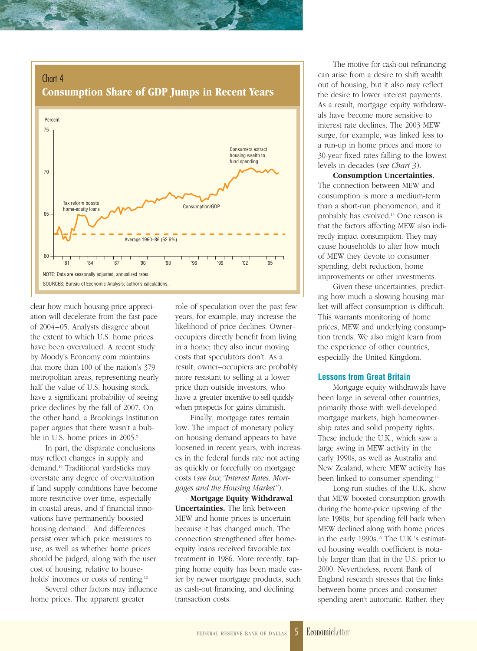



clear how much housing-price appreciation will decelerate from the fast pace of 2004–05. Analysts disagree about the extent to which U.S. home prices have been overvalued. A recent study by Moody's Economy.com maintains that more than 100 of the nation's 379 metropolitan areas, representing nearly half the value of U.S. housing stock, have a significant probability of seeing price declines by the fall of 2007. On the other hand, a Brookings Institution paper argues that there wasn't a bubble in U.S. home prices in 2005.<sup>9</sup>

In part, the disparate conclusions may reflect changes in supply and demand.10 Traditional yardsticks may overstate any degree of overvaluation if land supply conditions have become more restrictive over time, especially in coastal areas, and if financial innovations have permanently boosted housing demand.11 And differences persist over which price measures to use, as well as whether home prices should be judged, along with the user cost of housing, relative to households' incomes or costs of renting.<sup>12</sup>

Several other factors may influence home prices. The apparent greater

role of speculation over the past few years, for example, may increase the likelihood of price declines. Owner– occupiers directly benefit from living in a home; they also incur moving costs that speculators don't. As a result, owner–occupiers are probably more resistant to selling at a lower price than outside investors, who have a greater incentive to sell quickly when prospects for gains diminish.

Finally, mortgage rates remain low. The impact of monetary policy on housing demand appears to have loosened in recent years, with increases in the federal funds rate not acting as quickly or forcefully on mortgage costs (*see box,"Interest Rates, Mortgages and the Housing Market"* ).

**Mortgage Equity Withdrawal Uncertainties.** The link between MEW and home prices is uncertain because it has changed much. The connection strengthened after homeequity loans received favorable tax treatment in 1986. More recently, tapping home equity has been made easier by newer mortgage products, such as cash-out financing, and declining transaction costs.

The motive for cash-out refinancing can arise from a desire to shift wealth out of housing, but it also may reflect the desire to lower interest payments. As a result, mortgage equity withdrawals have become more sensitive to interest rate declines. The 2003 MEW surge, for example, was linked less to a run-up in home prices and more to 30-year fixed rates falling to the lowest levels in decades (*see Chart 3*).

**Consumption Uncertainties.** The connection between MEW and consumption is more a medium-term than a short-run phenomenon, and it probably has evolved.13 One reason is that the factors affecting MEW also indirectly impact consumption. They may cause households to alter how much of MEW they devote to consumer spending, debt reduction, home improvements or other investments.

Given these uncertainties, predicting how much a slowing housing market will affect consumption is difficult. This warrants monitoring of home prices, MEW and underlying consumption trends. We also might learn from the experience of other countries, especially the United Kingdom.

#### **Lessons from Great Britain**

Mortgage equity withdrawals have been large in several other countries, primarily those with well-developed mortgage markets, high homeownership rates and solid property rights. These include the U.K., which saw a large swing in MEW activity in the early 1990s, as well as Australia and New Zealand, where MEW activity has been linked to consumer spending.<sup>14</sup>

Long-run studies of the U.K. show that MEW boosted consumption growth during the home-price upswing of the late 1980s, but spending fell back when MEW declined along with home prices in the early 1990s.<sup>15</sup> The U.K.'s estimated housing wealth coefficient is notably larger than that in the U.S. prior to 2000. Nevertheless, recent Bank of England research stresses that the links between home prices and consumer spending aren't automatic. Rather, they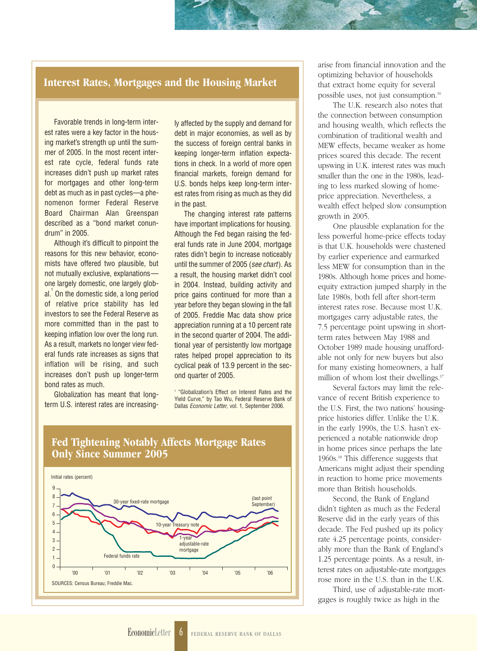### **Interest Rates, Mortgages and the Housing Market**

Favorable trends in long-term interest rates were a key factor in the housing market's strength up until the summer of 2005. In the most recent interest rate cycle, federal funds rate increases didn't push up market rates for mortgages and other long-term debt as much as in past cycles—a phenomenon former Federal Reserve Board Chairman Alan Greenspan described as a "bond market conundrum" in 2005.

Although it's difficult to pinpoint the reasons for this new behavior, economists have offered two plausible, but not mutually exclusive, explanations one largely domestic, one largely global. $^{\rm 1}$  On the domestic side, a long period of relative price stability has led investors to see the Federal Reserve as more committed than in the past to keeping inflation low over the long run. As a result, markets no longer view federal funds rate increases as signs that inflation will be rising, and such increases don't push up longer-term bond rates as much.

Globalization has meant that longterm U.S. interest rates are increasingly affected by the supply and demand for debt in major economies, as well as by the success of foreign central banks in keeping longer-term inflation expectations in check. In a world of more open financial markets, foreign demand for U.S. bonds helps keep long-term interest rates from rising as much as they did in the past.

The changing interest rate patterns have important implications for housing. Although the Fed began raising the federal funds rate in June 2004, mortgage rates didn't begin to increase noticeably until the summer of 2005 (see chart). As a result, the housing market didn't cool in 2004. Instead, building activity and price gains continued for more than a year before they began slowing in the fall of 2005. Freddie Mac data show price appreciation running at a 10 percent rate in the second quarter of 2004. The additional year of persistently low mortgage rates helped propel appreciation to its cyclical peak of 13.9 percent in the second quarter of 2005.

<sup>1</sup> "Globalization's Effect on Interest Rates and the Yield Curve," by Tao Wu, Federal Reserve Bank of Dallas Economic Letter, vol. 1, September 2006.



#### arise from financial innovation and the optimizing behavior of households that extract home equity for several possible uses, not just consumption.16

The U.K. research also notes that the connection between consumption and housing wealth, which reflects the combination of traditional wealth and MEW effects, became weaker as home prices soared this decade. The recent upswing in U.K. interest rates was much smaller than the one in the 1980s, leading to less marked slowing of homeprice appreciation. Nevertheless, a wealth effect helped slow consumption growth in 2005.

One plausible explanation for the less powerful home-price effects today is that U.K. households were chastened by earlier experience and earmarked less MEW for consumption than in the 1980s. Although home prices and homeequity extraction jumped sharply in the late 1980s, both fell after short-term interest rates rose. Because most U.K. mortgages carry adjustable rates, the 7.5 percentage point upswing in shortterm rates between May 1988 and October 1989 made housing unaffordable not only for new buyers but also for many existing homeowners, a half million of whom lost their dwellings.<sup>17</sup>

Several factors may limit the relevance of recent British experience to the U.S. First, the two nations' housingprice histories differ. Unlike the U.K. in the early 1990s, the U.S. hasn't experienced a notable nationwide drop in home prices since perhaps the late 1960s.18 This difference suggests that Americans might adjust their spending in reaction to home price movements more than British households.

Second, the Bank of England didn't tighten as much as the Federal Reserve did in the early years of this decade. The Fed pushed up its policy rate 4.25 percentage points, considerably more than the Bank of England's 1.25 percentage points. As a result, interest rates on adjustable-rate mortgages rose more in the U.S. than in the U.K.

Third, use of adjustable-rate mortgages is roughly twice as high in the

# **Fed Tightening Notably Affects Mortgage Rates**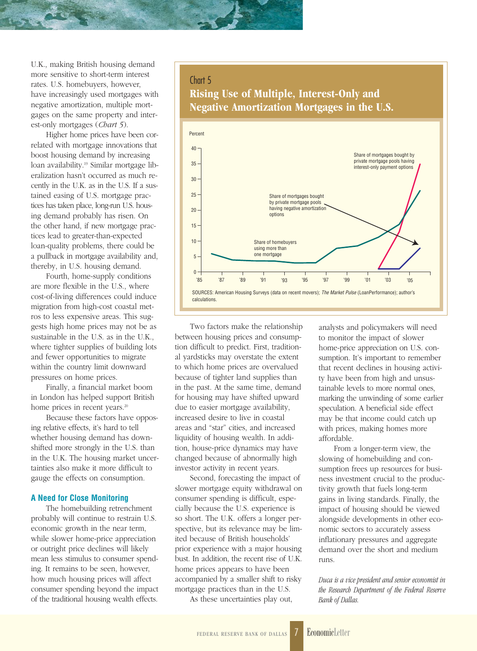U.K., making British housing demand more sensitive to short-term interest rates. U.S. homebuyers, however, have increasingly used mortgages with negative amortization, multiple mortgages on the same property and interest-only mortgages (*Chart 5*).

Higher home prices have been correlated with mortgage innovations that boost housing demand by increasing loan availability.19 Similar mortgage liberalization hasn't occurred as much recently in the U.K. as in the U.S. If a sustained easing of U.S. mortgage practices has taken place, long-run U.S. housing demand probably has risen. On the other hand, if new mortgage practices lead to greater-than-expected loan-quality problems, there could be a pullback in mortgage availability and, thereby, in U.S. housing demand.

Fourth, home-supply conditions are more flexible in the U.S., where cost-of-living differences could induce migration from high-cost coastal metros to less expensive areas. This suggests high home prices may not be as sustainable in the U.S. as in the U.K., where tighter supplies of building lots and fewer opportunities to migrate within the country limit downward pressures on home prices.

Finally, a financial market boom in London has helped support British home prices in recent years.<sup>20</sup>

Because these factors have opposing relative effects, it's hard to tell whether housing demand has downshifted more strongly in the U.S. than in the U.K. The housing market uncertainties also make it more difficult to gauge the effects on consumption.

#### **A Need for Close Monitoring**

The homebuilding retrenchment probably will continue to restrain U.S. economic growth in the near term, while slower home-price appreciation or outright price declines will likely mean less stimulus to consumer spending. It remains to be seen, however, how much housing prices will affect consumer spending beyond the impact of the traditional housing wealth effects.

#### Chart 5

# **Rising Use of Multiple, Interest-Only and Negative Amortization Mortgages in the U.S.**



Two factors make the relationship between housing prices and consumption difficult to predict. First, traditional yardsticks may overstate the extent to which home prices are overvalued because of tighter land supplies than in the past. At the same time, demand for housing may have shifted upward due to easier mortgage availability, increased desire to live in coastal areas and "star" cities, and increased liquidity of housing wealth. In addition, house-price dynamics may have changed because of abnormally high investor activity in recent years.

Second, forecasting the impact of slower mortgage equity withdrawal on consumer spending is difficult, especially because the U.S. experience is so short. The U.K. offers a longer perspective, but its relevance may be limited because of British households' prior experience with a major housing bust. In addition, the recent rise of U.K. home prices appears to have been accompanied by a smaller shift to risky mortgage practices than in the U.S.

As these uncertainties play out,

analysts and policymakers will need to monitor the impact of slower home-price appreciation on U.S. consumption. It's important to remember that recent declines in housing activity have been from high and unsustainable levels to more normal ones, marking the unwinding of some earlier speculation. A beneficial side effect may be that income could catch up with prices, making homes more affordable.

From a longer-term view, the slowing of homebuilding and consumption frees up resources for business investment crucial to the productivity growth that fuels long-term gains in living standards. Finally, the impact of housing should be viewed alongside developments in other economic sectors to accurately assess inflationary pressures and aggregate demand over the short and medium runs.

*Duca is a vice president and senior economist in the Research Department of the Federal Reserve Bank of Dallas.*